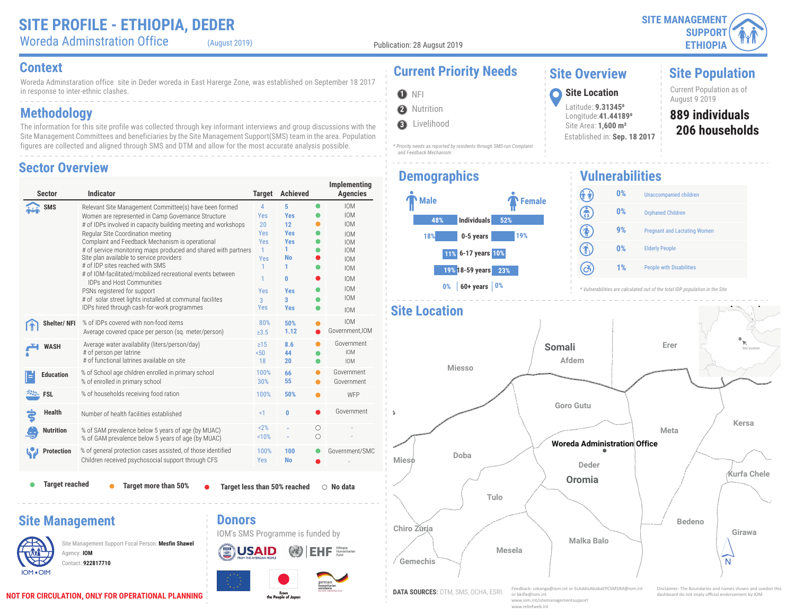Woreda Adminstration Office (August 2019)

**2** Nutrition

**3** Livelihood

 *and Feedback Mechanism*

**O** NFI

#### **Context Current Priority Needs**

Woreda Adminstaration office site in Deder woreda in East Harerge Zone, was established on September 18 2017 in response to inter-ethnic clashes.

### **Methodology**

The information for this site profile was collected through key informant interviews and group discussions with the Site Management Committees and beneficiaries by the Site Management Support(SMS) team in the area. Population figures are collected and aligned through SMS and DTM and allow for the most accurate analysis possible.

#### **Sector Overview**

| <b>Sector</b>                                | <b>Indicator</b>                                                                                                                                                                                                                                                                                                                                                                                                                                                                                                                                                                                                                                                   | <b>Target</b>                                                                                                            | <b>Achieved</b>                                                                                                 |                 | Implementing<br><b>Agencies</b>                                                                                                                                      |
|----------------------------------------------|--------------------------------------------------------------------------------------------------------------------------------------------------------------------------------------------------------------------------------------------------------------------------------------------------------------------------------------------------------------------------------------------------------------------------------------------------------------------------------------------------------------------------------------------------------------------------------------------------------------------------------------------------------------------|--------------------------------------------------------------------------------------------------------------------------|-----------------------------------------------------------------------------------------------------------------|-----------------|----------------------------------------------------------------------------------------------------------------------------------------------------------------------|
| SMS                                          | Relevant Site Management Committee(s) have been formed<br>Women are represented in Camp Governance Structure<br># of IDPs involved in capacity building meeting and workshops<br>Regular Site Coordination meeting<br>Complaint and Feedback Mechanism is operational<br># of service monitoring maps produced and shared with partners<br>Site plan available to service providers<br># of IDP sites reached with SMS<br># of IOM-facilitated/mobilized recreational events between<br><b>IDPs and Host Communities</b><br>PSNs registered for support<br># of solar street lights installed at communal facilites<br>IDPs hired through cash-for-work programmes | $\overline{4}$<br>Yes<br>20<br><b>Yes</b><br><b>Yes</b><br>$\mathbf{1}$<br>Yes<br>1<br>1<br>Yes<br>$\overline{3}$<br>Yes | 5<br><b>Yes</b><br>12<br><b>Yes</b><br><b>Yes</b><br>1.<br><b>No</b><br>1<br>0<br><b>Yes</b><br>3<br><b>Yes</b> | $\bullet$       | <b>IOM</b><br><b>IOM</b><br><b>IOM</b><br><b>IOM</b><br><b>IOM</b><br><b>IOM</b><br><b>IOM</b><br><b>IOM</b><br><b>IOM</b><br><b>IOM</b><br><b>IOM</b><br><b>IOM</b> |
| Shelter/NFI                                  | % of IDPs covered with non-food items<br>Average covered cpace per person (sq. meter/person)                                                                                                                                                                                                                                                                                                                                                                                                                                                                                                                                                                       | 80%<br>$\geq 3.5$                                                                                                        | 50%<br>1.12                                                                                                     |                 | <b>IOM</b><br>Government, IOM                                                                                                                                        |
| <b>WASH</b>                                  | Average water availability (liters/person/day)<br># of person per latrine<br># of functional latrines available on site                                                                                                                                                                                                                                                                                                                                                                                                                                                                                                                                            | $\geq$ 15<br>50 <sub>0</sub><br>18                                                                                       | 8.6<br>44<br>20                                                                                                 |                 | Government<br><b>IOM</b><br><b>IOM</b>                                                                                                                               |
| <b>Education</b>                             | % of School age children enrolled in primary school<br>% of enrolled in primary school                                                                                                                                                                                                                                                                                                                                                                                                                                                                                                                                                                             | 100%<br>30%                                                                                                              | 66<br>55                                                                                                        |                 | Government<br>Government                                                                                                                                             |
| <b>FSL</b>                                   | % of households receiving food ration                                                                                                                                                                                                                                                                                                                                                                                                                                                                                                                                                                                                                              | 100%                                                                                                                     | 50%                                                                                                             |                 | WFP                                                                                                                                                                  |
| Health                                       | Number of health facilities established                                                                                                                                                                                                                                                                                                                                                                                                                                                                                                                                                                                                                            | $\leq$ 1                                                                                                                 | $\bf{0}$                                                                                                        |                 | Government                                                                                                                                                           |
| <b>Nutrition</b>                             | % of SAM prevalence below 5 years of age (by MUAC)<br>% of GAM prevalence below 5 years of age (by MUAC)                                                                                                                                                                                                                                                                                                                                                                                                                                                                                                                                                           | 2%<br>10%                                                                                                                |                                                                                                                 | О<br>$\bigcirc$ |                                                                                                                                                                      |
| <b>Protection</b>                            | % of general protection cases assisted, of those identified<br>Children received psychosocial support through CFS                                                                                                                                                                                                                                                                                                                                                                                                                                                                                                                                                  | 100%<br><b>Yes</b>                                                                                                       | 100<br><b>No</b>                                                                                                |                 | Government/SMC                                                                                                                                                       |
| <b>Target reached</b>                        | Target more than 50%                                                                                                                                                                                                                                                                                                                                                                                                                                                                                                                                                                                                                                               |                                                                                                                          | Target less than 50% reached                                                                                    |                 | $\circ$ No data                                                                                                                                                      |
| <b>Site Management</b><br>Agency: <b>IOM</b> | <b>Donors</b><br>Site Management Support Focal Person: Mesfin Shawel<br>Contact: 922817710                                                                                                                                                                                                                                                                                                                                                                                                                                                                                                                                                                         |                                                                                                                          | IOM's SMS Programme is funded by                                                                                |                 |                                                                                                                                                                      |

# **Demographics**

*\* Priority needs as reported by residents through SMS-run Complaint* 



August 9 2019 **<sup>1</sup> Site Location** Latitude: **9.313450** Longitude:**41.441890** Site Area: **1,600 m²** Established in: **Sep. 18 2017**

**Site Overview**

# **889 individuals** Current Population as of

**Site Population**

**206 households**

#### **Vulnerabilities**



*\* Vulnerabilities are calculated out of the total IDP population in the Site*

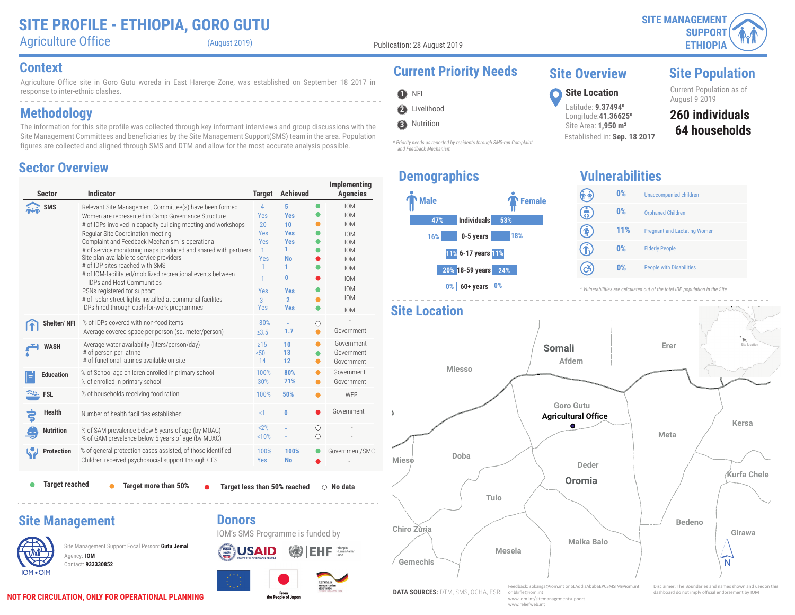**SITE MANAGEMENT SUPPORT ETHIOPIA**

**Site Population**

Current Population as of

**64 households 260 individuals**

## Agriculture Office (August 2019)

Publication: 28 August 2019

**2** Livelihood

 *and Feedback Mechanism*

**3** Nutrition

**O** NFI

#### **Context Current Priority Needs**

Agriculture Office site in Goro Gutu woreda in East Harerge Zone, was established on September 18 2017 in response to inter-ethnic clashes.

### **Methodology**

The information for this site profile was collected through key informant interviews and group discussions with the Site Management Committees and beneficiaries by the Site Management Support(SMS) team in the area. Population figures are collected and aligned through SMS and DTM and allow for the most accurate analysis possible.

#### **Sector Overview**

| <b>Sector</b>          | <b>Indicator</b>                                                                                                                                                                                                                                                                                                                                                                                                                                                                                                                                                                                                                                                   | <b>Target</b>                                                                                                     | <b>Achieved</b>                                                                                                                         |           | Implementing<br><b>Agencies</b>                                                                                                                                      |
|------------------------|--------------------------------------------------------------------------------------------------------------------------------------------------------------------------------------------------------------------------------------------------------------------------------------------------------------------------------------------------------------------------------------------------------------------------------------------------------------------------------------------------------------------------------------------------------------------------------------------------------------------------------------------------------------------|-------------------------------------------------------------------------------------------------------------------|-----------------------------------------------------------------------------------------------------------------------------------------|-----------|----------------------------------------------------------------------------------------------------------------------------------------------------------------------|
| <b>SMS</b>             | Relevant Site Management Committee(s) have been formed<br>Women are represented in Camp Governance Structure<br># of IDPs involved in capacity building meeting and workshops<br>Regular Site Coordination meeting<br>Complaint and Feedback Mechanism is operational<br># of service monitoring maps produced and shared with partners<br>Site plan available to service providers<br># of IDP sites reached with SMS<br># of IOM-facilitated/mobilized recreational events between<br><b>IDPs and Host Communities</b><br>PSNs registered for support<br># of solar street lights installed at communal facilites<br>IDPs hired through cash-for-work programmes | $\overline{4}$<br>Yes<br>20<br>Yes<br><b>Yes</b><br>$\mathbf{1}$<br>Yes<br>1<br>1<br>Yes<br>$\overline{3}$<br>Yes | 5<br><b>Yes</b><br>10<br><b>Yes</b><br><b>Yes</b><br>1.<br><b>No</b><br>1<br>$\mathbf{0}$<br><b>Yes</b><br>$\overline{2}$<br><b>Yes</b> | $\bullet$ | <b>IOM</b><br><b>IOM</b><br><b>IOM</b><br><b>IOM</b><br><b>IOM</b><br><b>IOM</b><br><b>IOM</b><br><b>IOM</b><br><b>IOM</b><br><b>IOM</b><br><b>IOM</b><br><b>IOM</b> |
| Shelter/NFI            | % of IDPs covered with non-food items<br>Average covered space per person (sq. meter/person)                                                                                                                                                                                                                                                                                                                                                                                                                                                                                                                                                                       | 80%<br>$\ge 3.5$                                                                                                  | 1.7                                                                                                                                     | О         | Government                                                                                                                                                           |
| <b>WASH</b>            | Average water availability (liters/person/day)<br># of person per latrine<br># of functional latrines available on site                                                                                                                                                                                                                                                                                                                                                                                                                                                                                                                                            | $\geq 15$<br>50 <sub>o</sub><br>14                                                                                | 10<br>13<br>12                                                                                                                          | 0         | Government<br>Government<br>Government                                                                                                                               |
| <b>Education</b>       | % of School age children enrolled in primary school<br>% of enrolled in primary school                                                                                                                                                                                                                                                                                                                                                                                                                                                                                                                                                                             | 100%<br>30%                                                                                                       | 80%<br>71%                                                                                                                              | $\bullet$ | Government<br>Government                                                                                                                                             |
| <b>EXALL</b> FSL       | % of households receiving food ration                                                                                                                                                                                                                                                                                                                                                                                                                                                                                                                                                                                                                              | 100%                                                                                                              | 50%                                                                                                                                     |           | <b>WFP</b>                                                                                                                                                           |
| <b>Health</b>          | Number of health facilities established                                                                                                                                                                                                                                                                                                                                                                                                                                                                                                                                                                                                                            | $\leq$ 1                                                                                                          | $\bf{0}$                                                                                                                                |           | Government                                                                                                                                                           |
| Nutrition              | % of SAM prevalence below 5 years of age (by MUAC)<br>% of GAM prevalence below 5 years of age (by MUAC)                                                                                                                                                                                                                                                                                                                                                                                                                                                                                                                                                           | 2%<br>10%                                                                                                         |                                                                                                                                         | О<br>∩    |                                                                                                                                                                      |
| <b>Protection</b>      | % of general protection cases assisted, of those identified<br>Children received psychosocial support through CFS                                                                                                                                                                                                                                                                                                                                                                                                                                                                                                                                                  | 100%<br>Yes                                                                                                       | 100%<br><b>No</b>                                                                                                                       |           | Government/SMC                                                                                                                                                       |
| <b>Target reached</b>  | <b>Target more than 50%</b>                                                                                                                                                                                                                                                                                                                                                                                                                                                                                                                                                                                                                                        |                                                                                                                   | Target less than 50% reached                                                                                                            |           | $\circ$ No data                                                                                                                                                      |
| <b>Site Management</b> | <b>Donors</b><br>IOM's SMS Programme is funded by<br>Site Management Support Focal Person: Gutu Jemal<br>Agency: IOM<br>Contact: 933330852                                                                                                                                                                                                                                                                                                                                                                                                                                                                                                                         |                                                                                                                   |                                                                                                                                         |           |                                                                                                                                                                      |

From<br>the People of Japan

# **Demographics**

*\* Priority needs as reported by residents through SMS-run Complaint* 



**Vulnerabilities** (î î) **0%** Unaccompanied children

August 9 2019 **<sup>1</sup> Site Location**

**Site Overview**

Latitude: **9.374940** Longitude:**41.366250** Site Area: **1,950 m²**

Established in: **Sep. 18 2017**



*\* Vulnerabilities are calculated out of the total IDP population in the Site*



**NOT FOR CIRCULATION, ONLY FOR OPERATIONAL PLANNING**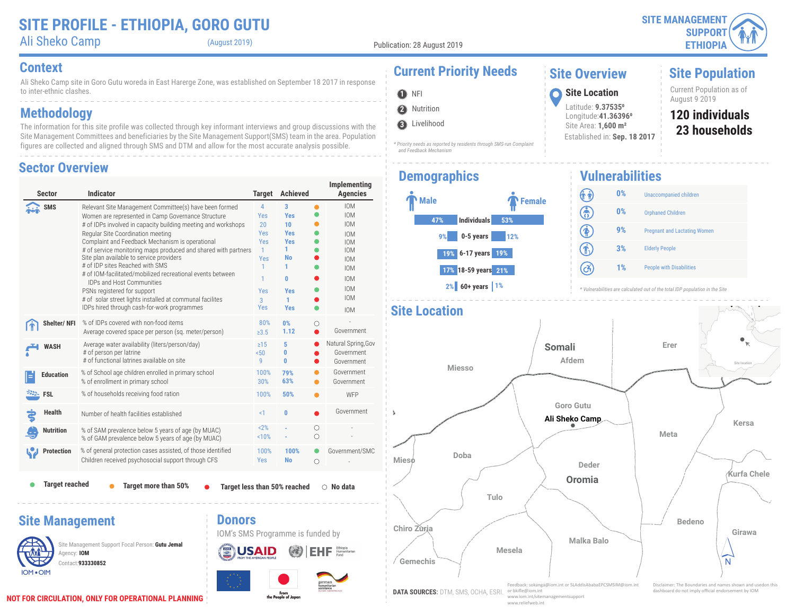Ali Sheko Camp (August 2019)

Publication: 28 August 2019

Ali Sheko Camp site in Goro Gutu woreda in East Harerge Zone, was established on September 18 2017 in response to inter-ethnic clashes. **Context Current Priority Needs**

## **Methodology**

The information for this site profile was collected through key informant interviews and group discussions with the Site Management Committees and beneficiaries by the Site Management Support(SMS) team in the area. Population figures are collected and aligned through SMS and DTM and allow for the most accurate analysis possible.

#### **Sector Overview**

| <b>Sector</b>                         | <b>Indicator</b>                                                                                                                                                                                                                                                                                                                                                                                                                                                                                                                                                                                                                                                   | <b>Target</b>                                                                                        | <b>Achieved</b>                                                                                         |           | Implementing<br><b>Agencies</b>                                                                                                                                      |
|---------------------------------------|--------------------------------------------------------------------------------------------------------------------------------------------------------------------------------------------------------------------------------------------------------------------------------------------------------------------------------------------------------------------------------------------------------------------------------------------------------------------------------------------------------------------------------------------------------------------------------------------------------------------------------------------------------------------|------------------------------------------------------------------------------------------------------|---------------------------------------------------------------------------------------------------------|-----------|----------------------------------------------------------------------------------------------------------------------------------------------------------------------|
| SMS                                   | Relevant Site Management Committee(s) have been formed<br>Women are represented in Camp Governance Structure<br># of IDPs involved in capacity building meeting and workshops<br>Regular Site Coordination meeting<br>Complaint and Feedback Mechanism is operational<br># of service monitoring maps produced and shared with partners<br>Site plan available to service providers<br># of IDP sites Reached with SMS<br># of IOM-facilitated/mobilized recreational events between<br><b>IDPs and Host Communities</b><br>PSNs registered for support<br># of solar street lights installed at communal facilites<br>IDPs hired through cash-for-work programmes | $\overline{4}$<br>Yes<br>20<br><b>Yes</b><br>Yes<br>$\mathbf{1}$<br>Yes<br>1<br>1<br>Yes<br>3<br>Yes | 3<br><b>Yes</b><br>10<br><b>Yes</b><br><b>Yes</b><br>1<br>No<br>1<br>0<br><b>Yes</b><br>1<br><b>Yes</b> | $\bullet$ | <b>IOM</b><br><b>IOM</b><br><b>IOM</b><br><b>IOM</b><br><b>IOM</b><br><b>IOM</b><br><b>IOM</b><br><b>IOM</b><br><b>IOM</b><br><b>IOM</b><br><b>IOM</b><br><b>IOM</b> |
| Shelter/NFI                           | % of IDPs covered with non-food items<br>Average covered space per person (sq. meter/person)                                                                                                                                                                                                                                                                                                                                                                                                                                                                                                                                                                       | 80%<br>$\ge 3.5$                                                                                     | 0%<br>1.12                                                                                              | Ω         | Government                                                                                                                                                           |
| <b>WASH</b>                           | Average water availability (liters/person/day)<br># of person per latrine<br># of functional latrines available on site                                                                                                                                                                                                                                                                                                                                                                                                                                                                                                                                            | $\geq 15$<br>50 <sub>50</sub><br>9                                                                   | 5<br>0<br>0                                                                                             |           | Natural Spring, Gov<br>Government<br>Government                                                                                                                      |
| <b>Education</b>                      | % of School age children enrolled in primary school<br>% of enrollment in primary school                                                                                                                                                                                                                                                                                                                                                                                                                                                                                                                                                                           | 100%<br>30%                                                                                          | 79%<br>63%                                                                                              |           | Government<br>Government                                                                                                                                             |
| <b>EXALL</b> FSL                      | % of households receiving food ration                                                                                                                                                                                                                                                                                                                                                                                                                                                                                                                                                                                                                              | 100%                                                                                                 | 50%                                                                                                     |           | WFP                                                                                                                                                                  |
| <b>Health</b>                         | Number of health facilities established                                                                                                                                                                                                                                                                                                                                                                                                                                                                                                                                                                                                                            | $\leq$ 1                                                                                             | 0                                                                                                       |           | Government                                                                                                                                                           |
| Nutrition                             | % of SAM prevalence below 5 years of age (by MUAC)<br>% of GAM prevalence below 5 years of age (by MUAC)                                                                                                                                                                                                                                                                                                                                                                                                                                                                                                                                                           | 2%<br>10%                                                                                            |                                                                                                         | О<br>Ω    |                                                                                                                                                                      |
| <b>Protection</b>                     | % of general protection cases assisted, of those identified<br>Children received psychosocial support through CFS                                                                                                                                                                                                                                                                                                                                                                                                                                                                                                                                                  | 100%<br>Yes                                                                                          | 100%<br><b>No</b>                                                                                       | O<br>О    | Government/SMC                                                                                                                                                       |
| <b>Target reached</b>                 | Target more than 50%                                                                                                                                                                                                                                                                                                                                                                                                                                                                                                                                                                                                                                               |                                                                                                      | Target less than 50% reached                                                                            |           | $\circ$ No data                                                                                                                                                      |
| <b>Site Management</b><br>Agency: IOM | <b>Donors</b><br>Site Management Support Focal Person: Gutu Jemal<br>Contact: 933330852                                                                                                                                                                                                                                                                                                                                                                                                                                                                                                                                                                            |                                                                                                      | IOM's SMS Programme is funded by                                                                        |           |                                                                                                                                                                      |

From<br>the People of Japan

#### August 9 2019 **<sup>1</sup> Site Location 2** Nutrition **O** NFI



#### *\* Priority needs as reported by residents through SMS-run Complaint and Feedback Mechanism*

#### **Demographics**



Latitude: **9.375350** Longitude:**41.363960** Site Area: **1,600 m²** Established in: **Sep. 18 2017**

**Site Overview**

# **120 individuals** Current Population as of

**Site Population**

**23 households**

#### **Vulnerabilities**



*\* Vulnerabilities are calculated out of the total IDP population in the Site*

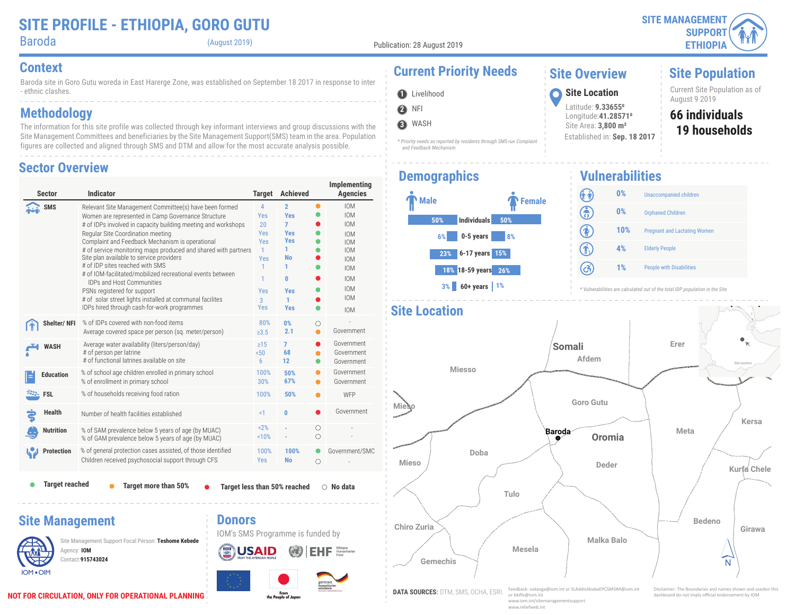Baroda (August 2019)

**2** NFI **O** Livelihood

**3** WASH

Baroda site in Goro Gutu woreda in East Harerge Zone, was established on September 18 2017 in response to inter - ethnic clashes.

### **Methodology**

The information for this site profile was collected through key informant interviews and group discussions with the Site Management Committees and beneficiaries by the Site Management Support(SMS) team in the area. Population figures are collected and aligned through SMS and DTM and allow for the most accurate analysis possible.

#### **Sector Overview**

| <b>Sector</b>         | <b>Indicator</b>                                                                                                                                                                                                                                                                                                                                                                                                                                                                                                                                                                                                                                                   | <b>Target</b>                                                                    | <b>Achieved</b>                                                                                                                         |                 | Implementing<br><b>Agencies</b>                                                                                                                                      |
|-----------------------|--------------------------------------------------------------------------------------------------------------------------------------------------------------------------------------------------------------------------------------------------------------------------------------------------------------------------------------------------------------------------------------------------------------------------------------------------------------------------------------------------------------------------------------------------------------------------------------------------------------------------------------------------------------------|----------------------------------------------------------------------------------|-----------------------------------------------------------------------------------------------------------------------------------------|-----------------|----------------------------------------------------------------------------------------------------------------------------------------------------------------------|
| <b>SMS</b>            | Relevant Site Management Committee(s) have been formed<br>Women are represented in Camp Governance Structure<br># of IDPs involved in capacity building meeting and workshops<br>Regular Site Coordination meeting<br>Complaint and Feedback Mechanism is operational<br># of service monitoring maps produced and shared with partners<br>Site plan available to service providers<br># of IDP sites reached with SMS<br># of IOM-facilitated/mobilized recreational events between<br><b>IDPs and Host Communities</b><br>PSNs registered for support<br># of solar street lights installed at communal facilites<br>IDPs hired through cash-for-work programmes | 4<br>Yes<br>20<br>Yes<br>Yes<br>$\mathbf{1}$<br>Yes<br>1<br>1<br>Yes<br>3<br>Yes | $\overline{2}$<br><b>Yes</b><br>$\overline{7}$<br><b>Yes</b><br><b>Yes</b><br>1<br><b>No</b><br>1<br>0<br><b>Yes</b><br>1<br><b>Yes</b> | $\bullet$       | <b>IOM</b><br><b>IOM</b><br><b>IOM</b><br><b>IOM</b><br><b>IOM</b><br><b>IOM</b><br><b>IOM</b><br><b>IOM</b><br><b>IOM</b><br><b>IOM</b><br><b>IOM</b><br><b>IOM</b> |
| <b>Shelter/NFI</b>    | % of IDPs covered with non-food items<br>Average covered space per person (sq. meter/person)                                                                                                                                                                                                                                                                                                                                                                                                                                                                                                                                                                       | 80%<br>>3.5                                                                      | 0%<br>2.1                                                                                                                               | O<br>●          | Government                                                                                                                                                           |
| <b>WASH</b>           | Average water availability (liters/person/day)<br># of person per latrine<br># of functional latrines available on site                                                                                                                                                                                                                                                                                                                                                                                                                                                                                                                                            | $\geq 15$<br>50 <sub>50</sub><br>6                                               | 7<br>68<br>12                                                                                                                           |                 | Government<br>Government<br>Government                                                                                                                               |
| <b>Education</b>      | % of school age children enrolled in primary school<br>% of enrollment in primary school                                                                                                                                                                                                                                                                                                                                                                                                                                                                                                                                                                           | 100%<br>30%                                                                      | 50%<br>67%                                                                                                                              | $\bullet$       | Government<br>Government                                                                                                                                             |
| <b>EXALL</b> FSL      | % of households receiving food ration                                                                                                                                                                                                                                                                                                                                                                                                                                                                                                                                                                                                                              | 100%                                                                             | 50%                                                                                                                                     |                 | WFP                                                                                                                                                                  |
| <b>Health</b>         | Number of health facilities established                                                                                                                                                                                                                                                                                                                                                                                                                                                                                                                                                                                                                            | $\leq$ 1                                                                         | 0                                                                                                                                       |                 | Government                                                                                                                                                           |
| <b>Nutrition</b>      | % of SAM prevalence below 5 years of age (by MUAC)<br>% of GAM prevalence below 5 years of age (by MUAC)                                                                                                                                                                                                                                                                                                                                                                                                                                                                                                                                                           | < 2%<br>10%                                                                      |                                                                                                                                         | O<br>$\bigcirc$ |                                                                                                                                                                      |
| <b>Protection</b>     | % of general protection cases assisted, of those identified<br>Children received psychosocial support through CFS                                                                                                                                                                                                                                                                                                                                                                                                                                                                                                                                                  | 100%<br>Yes                                                                      | 100%<br><b>No</b>                                                                                                                       | $\circ$         | Government/SMC                                                                                                                                                       |
| <b>Target reached</b> | Target more than 50%                                                                                                                                                                                                                                                                                                                                                                                                                                                                                                                                                                                                                                               |                                                                                  | <b>Target less than 50% reached</b>                                                                                                     |                 | No data<br>∩                                                                                                                                                         |

#### **Site Management**



Contact:**915743024** Site Management Support Focal Person: **Teshome Kebede** Agency: **IOM** 



## **Context Current Priority Needs**

*\* Priority needs as reported by residents through SMS-run Complaint* 

#### **Site Overview**

Latitude: **9.336550** Longitude:**41.285710** Site Area: **3,800 m²**

Established in: **Sep. 18 2017**

Current Site Population as of **1** Livelihood **1996 10 Site Location 1** Current Site Propose 3 2019

#### **19 households 66 individuals**

**Site Population**

## **Demographics**

 *and Feedback Mechanism*



**Vulnerabilities** (î î) **0%** Unaccompanied children ඹ **0%** Orphaned Children  $\circledast$ **10%** Pregnant and Lactating Women  $\widehat{\mathbf{r}}$ **4%** Elderly People  $\left( c\right)$ **1%** People with Disabilities

*\* Vulnerabilities are calculated out of the total IDP population in the Site*



 $E$ **H** $F$  Humanitarian

**Donors**

IOM's SMS Programme is funded by

**USAID**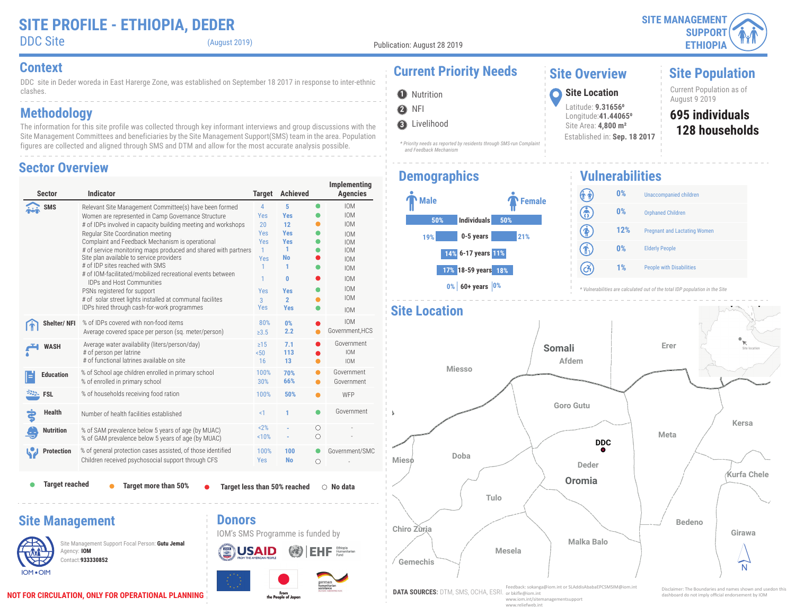DDC Site (August 2019)

**2** NFI **O** Nutrition

**3** Livelihood

 *and Feedback Mechanism*

DDC site in Deder woreda in East Harerge Zone, was established on September 18 2017 in response to inter-ethnic clashes.

### **Methodology**

The information for this site profile was collected through key informant interviews and group discussions with the Site Management Committees and beneficiaries by the Site Management Support(SMS) team in the area. Population figures are collected and aligned through SMS and DTM and allow for the most accurate analysis possible.

#### **Sector Overview**

| <b>Sector</b>          | <b>Indicator</b>                                                                                                                                                                                                                                                                                                                                                                                                                                                                                                                                                                                                                                                   | <b>Target</b>                                                                                               | <b>Achieved</b>                                                                                                                        |                 | Implementing<br><b>Agencies</b>                                                                                                                                      |
|------------------------|--------------------------------------------------------------------------------------------------------------------------------------------------------------------------------------------------------------------------------------------------------------------------------------------------------------------------------------------------------------------------------------------------------------------------------------------------------------------------------------------------------------------------------------------------------------------------------------------------------------------------------------------------------------------|-------------------------------------------------------------------------------------------------------------|----------------------------------------------------------------------------------------------------------------------------------------|-----------------|----------------------------------------------------------------------------------------------------------------------------------------------------------------------|
| <b>SMS</b>             | Relevant Site Management Committee(s) have been formed<br>Women are represented in Camp Governance Structure<br># of IDPs involved in capacity building meeting and workshops<br>Regular Site Coordination meeting<br>Complaint and Feedback Mechanism is operational<br># of service monitoring maps produced and shared with partners<br>Site plan available to service providers<br># of IDP sites reached with SMS<br># of IOM-facilitated/mobilized recreational events between<br><b>IDPs and Host Communities</b><br>PSNs registered for support<br># of solar street lights installed at communal facilites<br>IDPs hired through cash-for-work programmes | 4<br>Yes<br>20<br><b>Yes</b><br><b>Yes</b><br>$\mathbf{1}$<br>Yes<br>1<br>1<br>Yes<br>$\overline{3}$<br>Yes | 5<br><b>Yes</b><br>12<br><b>Yes</b><br><b>Yes</b><br>1<br><b>No</b><br>1<br>$\mathbf{0}$<br><b>Yes</b><br>$\overline{2}$<br><b>Yes</b> | $\bullet$       | <b>IOM</b><br><b>IOM</b><br><b>IOM</b><br><b>IOM</b><br><b>IOM</b><br><b>IOM</b><br><b>IOM</b><br><b>IOM</b><br><b>IOM</b><br><b>IOM</b><br><b>IOM</b><br><b>IOM</b> |
| Shelter/NFI            | % of IDPs covered with non-food items<br>Average covered space per person (sq. meter/person)                                                                                                                                                                                                                                                                                                                                                                                                                                                                                                                                                                       | 80%<br>$\geq 3.5$                                                                                           | 0%<br>2.2                                                                                                                              |                 | <b>IOM</b><br>Government, HCS                                                                                                                                        |
| <b>WASH</b>            | Average water availability (liters/person/day)<br># of person per latrine<br># of functional latrines available on site                                                                                                                                                                                                                                                                                                                                                                                                                                                                                                                                            | $\geq$ 15<br>50 <sub>0</sub><br>16                                                                          | 7.1<br>113<br>13                                                                                                                       |                 | Government<br><b>IOM</b><br><b>IOM</b>                                                                                                                               |
| <b>Education</b>       | % of School age children enrolled in primary school<br>% of enrolled in primary school                                                                                                                                                                                                                                                                                                                                                                                                                                                                                                                                                                             | 100%<br>30%                                                                                                 | 70%<br>66%                                                                                                                             |                 | Government<br>Government                                                                                                                                             |
| <b>EXALL</b> FSL       | % of households receiving food ration                                                                                                                                                                                                                                                                                                                                                                                                                                                                                                                                                                                                                              | 100%                                                                                                        | 50%                                                                                                                                    |                 | WFP                                                                                                                                                                  |
| <b>Health</b>          | Number of health facilities established                                                                                                                                                                                                                                                                                                                                                                                                                                                                                                                                                                                                                            | <1                                                                                                          | 1                                                                                                                                      |                 | Government                                                                                                                                                           |
| <b>Nutrition</b>       | % of SAM prevalence below 5 years of age (by MUAC)<br>% of GAM prevalence below 5 years of age (by MUAC)                                                                                                                                                                                                                                                                                                                                                                                                                                                                                                                                                           | 2%<br>10%                                                                                                   |                                                                                                                                        | О<br>$\bigcirc$ |                                                                                                                                                                      |
| <b>Protection</b>      | % of general protection cases assisted, of those identified<br>Children received psychosocial support through CFS                                                                                                                                                                                                                                                                                                                                                                                                                                                                                                                                                  | 100%<br>Yes                                                                                                 | 100<br><b>No</b>                                                                                                                       | О               | Government/SMC                                                                                                                                                       |
| <b>Target reached</b>  | Target more than 50%                                                                                                                                                                                                                                                                                                                                                                                                                                                                                                                                                                                                                                               |                                                                                                             | Target less than 50% reached                                                                                                           |                 | $\bigcirc$ No data                                                                                                                                                   |
| <b>Site Management</b> | <b>Donors</b>                                                                                                                                                                                                                                                                                                                                                                                                                                                                                                                                                                                                                                                      |                                                                                                             | IOM's SMS Programme is funded by                                                                                                       |                 |                                                                                                                                                                      |
| Agency: IOM            | Site Management Support Focal Person: Gutu Jemal<br>Contact: 933330852                                                                                                                                                                                                                                                                                                                                                                                                                                                                                                                                                                                             |                                                                                                             |                                                                                                                                        |                 | Humanitarian                                                                                                                                                         |

From<br>the People of Japan

## **Context Context Current Priority Needs**

#### **Site Overview**

Latitude: **9.316560** Longitude:**41.440650** Site Area: **4,800 m²**

Established in: **Sep. 18 2017**

### **Site Population**

Current Population as of **1** Nutrition **1999 CONSISTED Site Location** 

#### **128 households 695 individuals**

## **Demographics**



*\* Priority needs as reported by residents through SMS-run Complaint* 

#### **Vulnerabilities** (î î) **0%** Unaccompanied children ඹ **0%** Orphaned Children  $\circledast$ **12%** Pregnant and Lactating Women 介 **0%** Elderly People  $\left( c\right)$ **1%** People with Disabilities

*\* Vulnerabilities are calculated out of the total IDP population in the Site*



IOM . OIM

**INEX**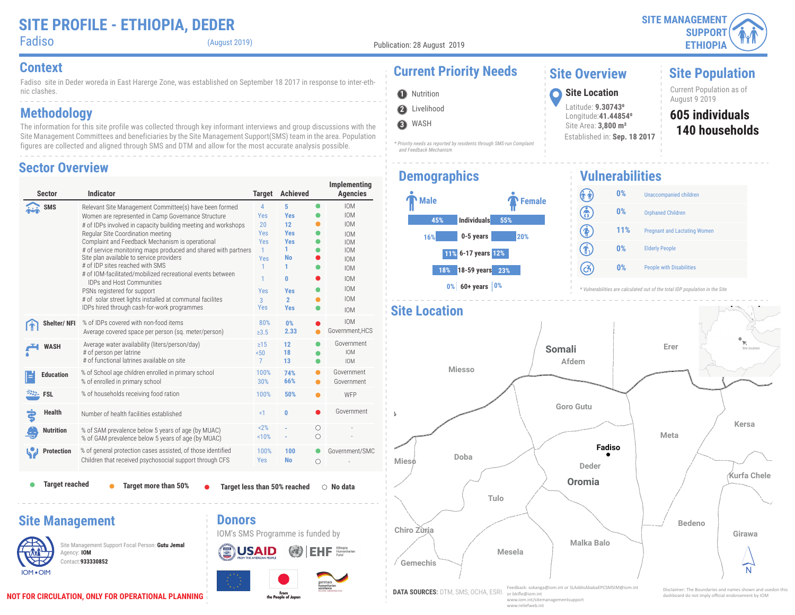(August 2019)

**2** Livelihood **O** Nutrition

 *and Feedback Mechanism*

**3** WASH

 $\textbf{E}\textbf{H}\textbf{F} \; \; \substack{\text{Ethopla} \atop \text{Fund}}$ 

**USAID** 

Fadiso site in Deder woreda in East Harerge Zone, was established on September 18 2017 in response to inter-ethnic clashes.

### **Methodology**

The information for this site profile was collected through key informant interviews and group discussions with the Site Management Committees and beneficiaries by the Site Management Support(SMS) team in the area. Population figures are collected and aligned through SMS and DTM and allow for the most accurate analysis possible.

#### **Sector Overview**

| <b>Sector</b>          | <b>Indicator</b>                                                                                                                                                                                                                                                                                                                                                                                                                                                                                                                                                                                                                                                   | <b>Target</b>                                                                           | <b>Achieved</b>                                                                                                                    |        | Implementing<br><b>Agencies</b>                                                                                                                                      |
|------------------------|--------------------------------------------------------------------------------------------------------------------------------------------------------------------------------------------------------------------------------------------------------------------------------------------------------------------------------------------------------------------------------------------------------------------------------------------------------------------------------------------------------------------------------------------------------------------------------------------------------------------------------------------------------------------|-----------------------------------------------------------------------------------------|------------------------------------------------------------------------------------------------------------------------------------|--------|----------------------------------------------------------------------------------------------------------------------------------------------------------------------|
| <b>SMS</b>             | Relevant Site Management Committee(s) have been formed<br>Women are represented in Camp Governance Structure<br># of IDPs involved in capacity building meeting and workshops<br>Regular Site Coordination meeting<br>Complaint and Feedback Mechanism is operational<br># of service monitoring maps produced and shared with partners<br>Site plan available to service providers<br># of IDP sites reached with SMS<br># of IOM-facilitated/mobilized recreational events between<br><b>IDPs and Host Communities</b><br>PSNs registered for support<br># of solar street lights installed at communal facilites<br>IDPs hired through cash-for-work programmes | 4<br><b>Yes</b><br>20<br>Yes<br>Yes<br>$\mathbf{1}$<br>Yes<br>1<br>1<br>Yes<br>3<br>Yes | 5<br><b>Yes</b><br>12 <sup>2</sup><br><b>Yes</b><br><b>Yes</b><br>1.<br><b>No</b><br>1<br>0<br><b>Yes</b><br>$\overline{2}$<br>Yes |        | <b>IOM</b><br><b>IOM</b><br><b>IOM</b><br><b>IOM</b><br><b>IOM</b><br><b>IOM</b><br><b>IOM</b><br><b>IOM</b><br><b>IOM</b><br><b>IOM</b><br><b>IOM</b><br><b>IOM</b> |
| Shelter/NFI            | % of IDPs covered with non-food items<br>Average covered space per person (sq. meter/person)                                                                                                                                                                                                                                                                                                                                                                                                                                                                                                                                                                       | 80%<br>$\geq 3.5$                                                                       | 0%<br>2.33                                                                                                                         |        | <b>IOM</b><br>Government, HCS                                                                                                                                        |
| <b>WASH</b>            | Average water availability (liters/person/day)<br># of person per latrine<br># of functional latrines available on site                                                                                                                                                                                                                                                                                                                                                                                                                                                                                                                                            | $\geq$ 15<br>50 <sub>50</sub><br>$\mathcal{I}$                                          | 12<br>18<br>13                                                                                                                     |        | Government<br><b>IOM</b><br><b>IOM</b>                                                                                                                               |
| <b>Education</b>       | % of School age children enrolled in primary school<br>% of enrolled in primary school                                                                                                                                                                                                                                                                                                                                                                                                                                                                                                                                                                             | 100%<br>30%                                                                             | 74%<br>66%                                                                                                                         |        | Government<br>Government                                                                                                                                             |
| <b>EXALL</b> FSL       | % of households receiving food ration                                                                                                                                                                                                                                                                                                                                                                                                                                                                                                                                                                                                                              | 100%                                                                                    | 50%                                                                                                                                |        | WFP                                                                                                                                                                  |
| Health                 | Number of health facilities established                                                                                                                                                                                                                                                                                                                                                                                                                                                                                                                                                                                                                            | $\leq$ 1                                                                                | $\bf{0}$                                                                                                                           |        | Government                                                                                                                                                           |
| <b>Nutrition</b>       | % of SAM prevalence below 5 years of age (by MUAC)<br>% of GAM prevalence below 5 years of age (by MUAC)                                                                                                                                                                                                                                                                                                                                                                                                                                                                                                                                                           | 2%<br>10%                                                                               |                                                                                                                                    | О<br>Ο |                                                                                                                                                                      |
| <b>Protection</b>      | % of general protection cases assisted, of those identified<br>Children that received psychosocial support through CFS                                                                                                                                                                                                                                                                                                                                                                                                                                                                                                                                             | 100%<br>Yes                                                                             | 100<br><b>No</b>                                                                                                                   | О      | Government/SMC                                                                                                                                                       |
| <b>Target reached</b>  | Target more than 50%                                                                                                                                                                                                                                                                                                                                                                                                                                                                                                                                                                                                                                               |                                                                                         | Target less than 50% reached                                                                                                       |        | $\circ$ No data                                                                                                                                                      |
| <b>Site Management</b> | <b>Donors</b><br>Site Management Support Focal Person: Gutu Jemal<br>$\mathbb{R}^m$ and $\mathbb{R}^m$ and $\mathbb{R}^m$ and $\mathbb{R}^m$                                                                                                                                                                                                                                                                                                                                                                                                                                                                                                                       |                                                                                         | IOM's SMS Programme is funded by<br>$\sqrt{2}$                                                                                     |        |                                                                                                                                                                      |

## **Context Context Current Priority Needs**

*\* Priority needs as reported by residents through SMS-run Complaint* 

#### **Site Overview**

Latitude: **9.307430** Longitude:**41.448540** Site Area: **3,800 m²**

Established in: **Sep. 18 2017**

#### **Site Population**

Current Population as of August 9 2019 **<sup>1</sup> Site Location**

#### **140 households 605 individuals**

### **Demographics**



**Vulnerabilities** (î î) **0%** Unaccompanied children ඹ **0%** Orphaned Children  $\circledast$ **11%** Pregnant and Lactating Women 介 **0%** Elderly People  $\left( c\right)$ **0%** People with Disabilities





Contact:**933330852**

Agency: **IOM**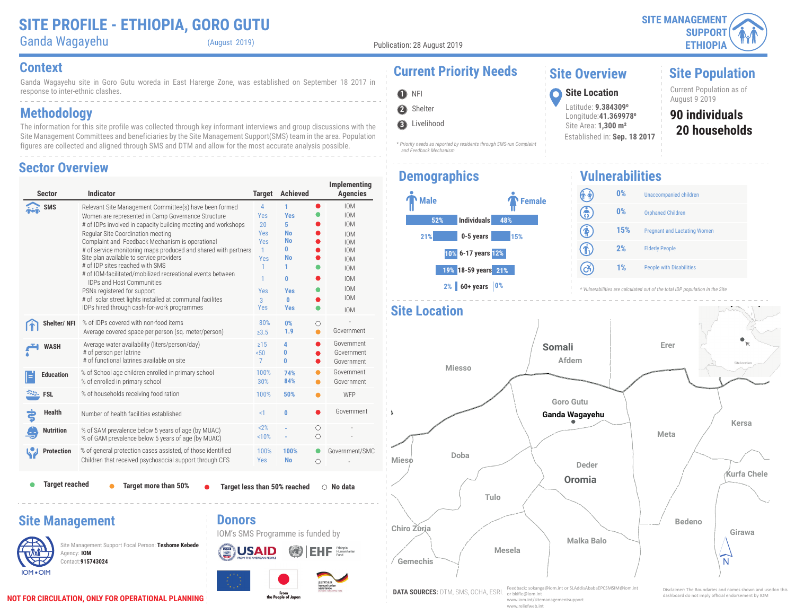**SITE MANAGEMENT SUPPORT ETHIOPIA**

# Ganda Wagayehu (August 2019)

Publication: 28 August 2019

Ganda Wagayehu site in Goro Gutu woreda in East Harerge Zone, was established on September 18 2017 in response to inter-ethnic clashes. **Context Current Priority Needs**

### **Methodology**

The information for this site profile was collected through key informant interviews and group discussions with the Site Management Committees and beneficiaries by the Site Management Support(SMS) team in the area. Population figures are collected and aligned through SMS and DTM and allow for the most accurate analysis possible.

#### **Sector Overview**

| <b>Sector</b>                                                                                    | <b>Indicator</b>                                                                                                                                                                                                                                                                                                                                                                                                                                                                                                                                                                                                                                                   | <b>Target</b>                                                                                  | <b>Achieved</b>                                                                                                               |                 | Implementing<br><b>Agencies</b>                                                                                                                                      |
|--------------------------------------------------------------------------------------------------|--------------------------------------------------------------------------------------------------------------------------------------------------------------------------------------------------------------------------------------------------------------------------------------------------------------------------------------------------------------------------------------------------------------------------------------------------------------------------------------------------------------------------------------------------------------------------------------------------------------------------------------------------------------------|------------------------------------------------------------------------------------------------|-------------------------------------------------------------------------------------------------------------------------------|-----------------|----------------------------------------------------------------------------------------------------------------------------------------------------------------------|
| <b>SMS</b>                                                                                       | Relevant Site Management Committee(s) have been formed<br>Women are represented in Camp Governance Structure<br># of IDPs involved in capacity building meeting and workshops<br>Regular Site Coordination meeting<br>Complaint and Feedback Mechanism is operational<br># of service monitoring maps produced and shared with partners<br>Site plan available to service providers<br># of IDP sites reached with SMS<br># of IOM-facilitated/mobilized recreational events between<br><b>IDPs and Host Communities</b><br>PSNs registered for support<br># of solar street lights installed at communal facilites<br>IDPs hired through cash-for-work programmes | $\overline{4}$<br>Yes<br>20<br>Yes<br>Yes<br>$\mathbf{1}$<br>Yes<br>1.<br>1<br>Yes<br>3<br>Yes | 1<br><b>Yes</b><br>5<br><b>No</b><br><b>No</b><br>$\bf{0}$<br><b>No</b><br>1<br>$\mathbf{0}$<br><b>Yes</b><br>O<br><b>Yes</b> | 0               | <b>IOM</b><br><b>IOM</b><br><b>IOM</b><br><b>IOM</b><br><b>IOM</b><br><b>IOM</b><br><b>IOM</b><br><b>IOM</b><br><b>IOM</b><br><b>IOM</b><br><b>IOM</b><br><b>IOM</b> |
| Shelter/NFI                                                                                      | % of IDPs covered with non-food items<br>Average covered space per person (sq. meter/person)                                                                                                                                                                                                                                                                                                                                                                                                                                                                                                                                                                       | 80%<br>$\ge 3.5$                                                                               | 0%<br>1.9                                                                                                                     | O               | Government                                                                                                                                                           |
| <b>WASH</b>                                                                                      | Average water availability (liters/person/day)<br># of person per latrine<br># of functional latrines available on site                                                                                                                                                                                                                                                                                                                                                                                                                                                                                                                                            | $\geq$ 15<br>50 <sub>0</sub><br>7                                                              | 4<br>0<br>0                                                                                                                   |                 | Government<br>Government<br>Government                                                                                                                               |
| <b>Education</b>                                                                                 | % of School age children enrolled in primary school<br>% of enrolled in primary school                                                                                                                                                                                                                                                                                                                                                                                                                                                                                                                                                                             | 100%<br>30%                                                                                    | 74%<br>84%                                                                                                                    |                 | Government<br>Government                                                                                                                                             |
| <b>FSL</b>                                                                                       | % of households receiving food ration                                                                                                                                                                                                                                                                                                                                                                                                                                                                                                                                                                                                                              | 100%                                                                                           | 50%                                                                                                                           |                 | WFP                                                                                                                                                                  |
| <b>Health</b>                                                                                    | Number of health facilities established                                                                                                                                                                                                                                                                                                                                                                                                                                                                                                                                                                                                                            | <1                                                                                             | 0                                                                                                                             |                 | Government                                                                                                                                                           |
| <b>Nutrition</b>                                                                                 | % of SAM prevalence below 5 years of age (by MUAC)<br>% of GAM prevalence below 5 years of age (by MUAC)                                                                                                                                                                                                                                                                                                                                                                                                                                                                                                                                                           | 2%<br>10%                                                                                      |                                                                                                                               | Ο<br>$\bigcirc$ |                                                                                                                                                                      |
| <b>Protection</b>                                                                                | % of general protection cases assisted, of those identified<br>Children that received psychosocial support through CFS                                                                                                                                                                                                                                                                                                                                                                                                                                                                                                                                             | 100%<br><b>Yes</b>                                                                             | 100%<br><b>No</b>                                                                                                             | ◯               | Government/SMC                                                                                                                                                       |
| <b>Target reached</b><br>Target more than 50%<br>Target less than 50% reached<br>$\circ$ No data |                                                                                                                                                                                                                                                                                                                                                                                                                                                                                                                                                                                                                                                                    |                                                                                                |                                                                                                                               |                 |                                                                                                                                                                      |
| <b>Site Management</b><br>Agency: IOM<br><b>IOM .OIM</b>                                         | <b>Donors</b><br>Site Management Support Focal Person: Teshome Kebede<br>Contact: 915743024                                                                                                                                                                                                                                                                                                                                                                                                                                                                                                                                                                        |                                                                                                | IOM's SMS Programme is funded by                                                                                              |                 |                                                                                                                                                                      |

# **O** NFI



**3** Livelihood

*\* Priority needs as reported by residents through SMS-run Complaint and Feedback Mechanism*

#### **Demographics**



August 9 2019 **<sup>1</sup> Site Location** Latitude: **9.3843090** Longitude:**41.3699780** Site Area: **1,300 m²** Established in: **Sep. 18 2017**

**Site Overview**

**20 households 90 individuals** Current Population as of

**Site Population**

#### **Vulnerabilities** (î î) **0%** Unaccompanied children ඹ **0%** Orphaned Children  $\circledast$ **15%** Pregnant and Lactating Women  $\textcircled{\textbf{f}}$ **2%** Elderly People  $\left( c\right)$ **1%** People with Disabilities





**didentify the note imply of IOM ION CIRCULATION, ONLY FOR OPERATIONAL PLANNING**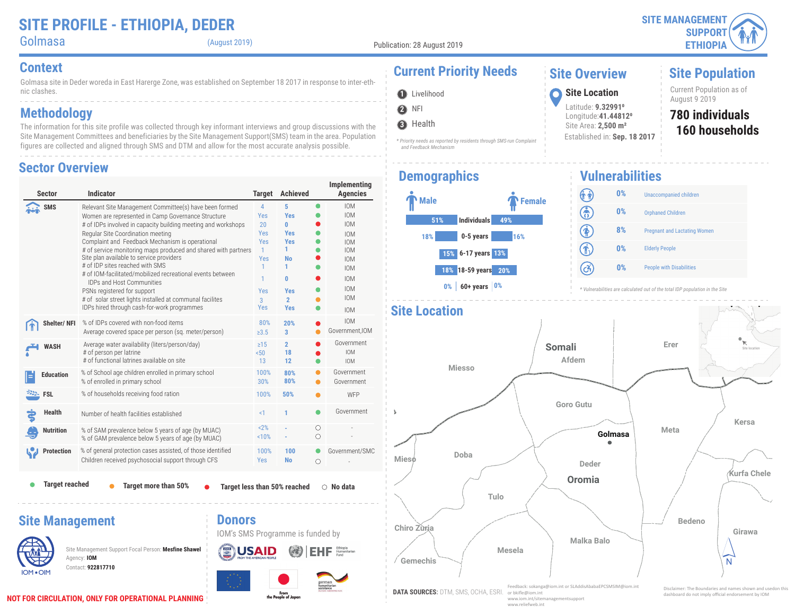| Golmasa |
|---------|
|         |
|         |

(August 2019)

**Site Population**

Golmasa site in Deder woreda in East Harerge Zone, was established on September 18 2017 in response to inter-ethnic clashes. **Context Current Priority Needs**

### **Methodology**

The information for this site profile was collected through key informant interviews and group discussions with the Site Management Committees and beneficiaries by the Site Management Support(SMS) team in the area. Population figures are collected and aligned through SMS and DTM and allow for the most accurate analysis possible.

#### **Sector Overview**

| <b>Sector</b>                                                                                                                               | <b>Indicator</b>                                                                                                                                                                                                                                                                                                                                                                                                                                                                                                                                                                                                                                                   | <b>Target</b>                                                                                  | <b>Achieved</b>                                                                                                      |           | Implementing<br><b>Agencies</b>                                                                                                                                      |
|---------------------------------------------------------------------------------------------------------------------------------------------|--------------------------------------------------------------------------------------------------------------------------------------------------------------------------------------------------------------------------------------------------------------------------------------------------------------------------------------------------------------------------------------------------------------------------------------------------------------------------------------------------------------------------------------------------------------------------------------------------------------------------------------------------------------------|------------------------------------------------------------------------------------------------|----------------------------------------------------------------------------------------------------------------------|-----------|----------------------------------------------------------------------------------------------------------------------------------------------------------------------|
| SMS                                                                                                                                         | Relevant Site Management Committee(s) have been formed<br>Women are represented in Camp Governance Structure<br># of IDPs involved in capacity building meeting and workshops<br>Regular Site Coordination meeting<br>Complaint and Feedback Mechanism is operational<br># of service monitoring maps produced and shared with partners<br>Site plan available to service providers<br># of IDP sites reached with SMS<br># of IOM-facilitated/mobilized recreational events between<br><b>IDPs and Host Communities</b><br>PSNs registered for support<br># of solar street lights installed at communal facilites<br>IDPs hired through cash-for-work programmes | 4<br><b>Yes</b><br>20<br>Yes<br>Yes<br>$\mathbf{1}$<br>Yes<br>1<br>1<br>Yes<br>3<br><b>Yes</b> | 5<br><b>Yes</b><br>O<br><b>Yes</b><br><b>Yes</b><br>1.<br>No<br>1<br>0<br><b>Yes</b><br>$\overline{2}$<br><b>Yes</b> | $\bullet$ | <b>IOM</b><br><b>IOM</b><br><b>IOM</b><br><b>IOM</b><br><b>IOM</b><br><b>IOM</b><br><b>IOM</b><br><b>IOM</b><br><b>IOM</b><br><b>IOM</b><br><b>IOM</b><br><b>IOM</b> |
| Shelter/ NFI                                                                                                                                | % of IDPs covered with non-food items<br>Average covered space per person (sg. meter/person)                                                                                                                                                                                                                                                                                                                                                                                                                                                                                                                                                                       | 80%<br>$\geq 3.5$                                                                              | 20%<br>3                                                                                                             |           | <b>IOM</b><br>Government, IOM                                                                                                                                        |
| <b>WASH</b>                                                                                                                                 | Average water availability (liters/person/day)<br># of person per latrine<br># of functional latrines available on site                                                                                                                                                                                                                                                                                                                                                                                                                                                                                                                                            | $\geq$ 15<br>50 <sub>0</sub><br>13                                                             | $\overline{2}$<br>18<br>12                                                                                           |           | Government<br><b>IOM</b><br><b>IOM</b>                                                                                                                               |
| <b>Education</b>                                                                                                                            | % of School age children enrolled in primary school<br>% of enrolled in primary school                                                                                                                                                                                                                                                                                                                                                                                                                                                                                                                                                                             | 100%<br>30%                                                                                    | 80%<br>80%                                                                                                           |           | Government<br>Government                                                                                                                                             |
| $\frac{25.5}{25.5}$ FSL                                                                                                                     | % of households receiving food ration                                                                                                                                                                                                                                                                                                                                                                                                                                                                                                                                                                                                                              | 100%                                                                                           | 50%                                                                                                                  |           | WFP                                                                                                                                                                  |
| <b>Health</b>                                                                                                                               | Number of health facilities established                                                                                                                                                                                                                                                                                                                                                                                                                                                                                                                                                                                                                            | <1                                                                                             | 1                                                                                                                    |           | Government                                                                                                                                                           |
| <b>Nutrition</b>                                                                                                                            | % of SAM prevalence below 5 years of age (by MUAC)<br>% of GAM prevalence below 5 years of age (by MUAC)                                                                                                                                                                                                                                                                                                                                                                                                                                                                                                                                                           | 2%<br>10%                                                                                      |                                                                                                                      | Ω<br>Ο    |                                                                                                                                                                      |
| <b>Protection</b>                                                                                                                           | % of general protection cases assisted, of those identified<br>Children received psychosocial support through CFS                                                                                                                                                                                                                                                                                                                                                                                                                                                                                                                                                  | 100%<br><b>Yes</b>                                                                             | 100<br><b>No</b>                                                                                                     | O         | Government/SMC                                                                                                                                                       |
| <b>Target reached</b><br>Target more than 50%<br>Target less than 50% reached<br>$\circ$ No data<br><b>Donors</b><br><b>Site Management</b> |                                                                                                                                                                                                                                                                                                                                                                                                                                                                                                                                                                                                                                                                    |                                                                                                |                                                                                                                      |           |                                                                                                                                                                      |
|                                                                                                                                             | Site Management Support Focal Person: Mesfine Shawel<br>Agency: IOM<br>Contact: 922817710                                                                                                                                                                                                                                                                                                                                                                                                                                                                                                                                                                          |                                                                                                | IOM's SMS Programme is funded by                                                                                     |           |                                                                                                                                                                      |

# **O** Livelihood

**3** Health

**2** NFI

**Gemechis**

**Chiro Zuria**

**Mieso**

A.

*\* Priority needs as reported by residents through SMS-run Complaint and Feedback Mechanism*

#### **Demographics**

**Site Location**



#### **1** Livelihood **1998 10 Site Location 1998 10 Site Location 1998 10 1999 10 1999 10 1999 10 1999 10 1999 10 1999 10 1999 10 1999 10 1999 10 1999 10 1999 10 1999 10 1999 10 1999 10 1999** Latitude: **9.329910** Longitude:**41.448120** Site Area: **2,500 m²**

Established in: **Sep. 18 2017**

**Site Overview**

**160 households 780 individuals** Current Population as of

#### **Vulnerabilities**



**Somali Erer Dire location** Site location

*\* Vulnerabilities are calculated out of the total IDP population in the Site*



**DATA SOURCES:** DTM, SMS, OCHA, ESRI. Feedback: sokanga@iom.int or SLAddisAbabaEPCSMSIM@iom.int or bkifle@iom.int www.iom.int/sitemanagementsupport www.reliefweb.int

**Mesela**

 $\widehat{\mathsf{N}}$ 

**DOT FOR CIRCULATION, ONLY FOR OPERATIONAL PLANNING**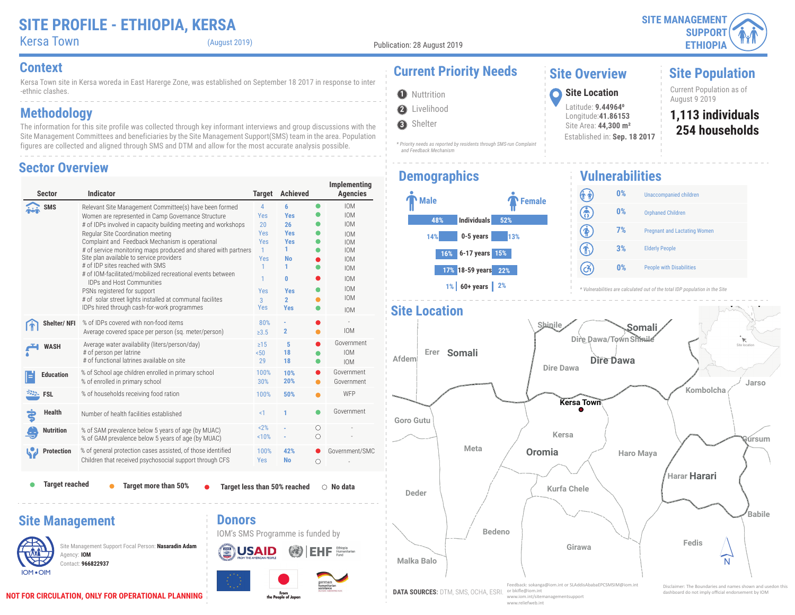### **SITE PROFILE - ETHIOPIA, KERSA**

| <b>Kersa Town</b> |  |
|-------------------|--|
|                   |  |

(August 2019)

**2** Livelihood **O** Nuttrition

 *and Feedback Mechanism*

**3** Shelter

Kersa Town site in Kersa woreda in East Harerge Zone, was established on September 18 2017 in response to inter -ethnic clashes.

### **Methodology**

The information for this site profile was collected through key informant interviews and group discussions with the Site Management Committees and beneficiaries by the Site Management Support(SMS) team in the area. Population figures are collected and aligned through SMS and DTM and allow for the most accurate analysis possible.

#### **Sector Overview**

| <b>Sector</b>                                            | <b>Indicator</b>                                                                                                                                                                                                                                                                                                                                                                                                                                                                                                                                                                                                                                                   | <b>Target</b>                                                                                                   | Achieved                                                                                                              |           | Implementing<br><b>Agencies</b>                                                                                                                                      |
|----------------------------------------------------------|--------------------------------------------------------------------------------------------------------------------------------------------------------------------------------------------------------------------------------------------------------------------------------------------------------------------------------------------------------------------------------------------------------------------------------------------------------------------------------------------------------------------------------------------------------------------------------------------------------------------------------------------------------------------|-----------------------------------------------------------------------------------------------------------------|-----------------------------------------------------------------------------------------------------------------------|-----------|----------------------------------------------------------------------------------------------------------------------------------------------------------------------|
| SMS                                                      | Relevant Site Management Committee(s) have been formed<br>Women are represented in Camp Governance Structure<br># of IDPs involved in capacity building meeting and workshops<br>Regular Site Coordination meeting<br>Complaint and Feedback Mechanism is operational<br># of service monitoring maps produced and shared with partners<br>Site plan available to service providers<br># of IDP sites reached with SMS<br># of IOM-facilitated/mobilized recreational events between<br><b>IDPs and Host Communities</b><br>PSNs registered for support<br># of solar street lights installed at communal facilites<br>IDPs hired through cash-for-work programmes | $\overline{4}$<br>Yes<br>20<br>Yes<br>Yes<br>$\mathbf{1}$<br><b>Yes</b><br>$\mathbf{1}$<br>1<br>Yes<br>3<br>Yes | 6<br><b>Yes</b><br>26<br><b>Yes</b><br><b>Yes</b><br>1.<br>No<br>1<br>0<br><b>Yes</b><br>$\overline{2}$<br><b>Yes</b> | $\bullet$ | <b>IOM</b><br><b>IOM</b><br><b>IOM</b><br><b>IOM</b><br><b>IOM</b><br><b>IOM</b><br><b>IOM</b><br><b>IOM</b><br><b>IOM</b><br><b>IOM</b><br><b>IOM</b><br><b>IOM</b> |
| Shelter/NFI                                              | % of IDPs covered with non-food items<br>Average covered space per person (sq. meter/person)                                                                                                                                                                                                                                                                                                                                                                                                                                                                                                                                                                       | 80%<br>$\geq 3.5$                                                                                               | $\overline{2}$                                                                                                        |           | <b>IOM</b>                                                                                                                                                           |
| <b>WASH</b>                                              | Average water availability (liters/person/day)<br># of person per latrine<br># of functional latrines available on site                                                                                                                                                                                                                                                                                                                                                                                                                                                                                                                                            | $\geq$ 15<br>50 <sub>0</sub><br>29                                                                              | 5<br>18<br>18                                                                                                         |           | Government<br><b>IOM</b><br><b>IOM</b>                                                                                                                               |
| <b>Education</b>                                         | % of School age children enrolled in primary school<br>% of enrolled in primary school                                                                                                                                                                                                                                                                                                                                                                                                                                                                                                                                                                             | 100%<br>30%                                                                                                     | 10%<br>20%                                                                                                            |           | Government<br>Government                                                                                                                                             |
| <b>FSL</b>                                               | % of households receiving food ration                                                                                                                                                                                                                                                                                                                                                                                                                                                                                                                                                                                                                              | 100%                                                                                                            | 50%                                                                                                                   |           | WFP                                                                                                                                                                  |
| <b>Health</b>                                            | Number of health facilities established                                                                                                                                                                                                                                                                                                                                                                                                                                                                                                                                                                                                                            | <1                                                                                                              | 1                                                                                                                     |           | Government                                                                                                                                                           |
| <b>Nutrition</b>                                         | % of SAM prevalence below 5 years of age (by MUAC)<br>% of GAM prevalence below 5 years of age (by MUAC)                                                                                                                                                                                                                                                                                                                                                                                                                                                                                                                                                           | 2%<br>10%                                                                                                       |                                                                                                                       | Ω<br>Ω    |                                                                                                                                                                      |
| <b>Protection</b>                                        | % of general protection cases assisted, of those identified<br>Children that received psychosocial support through CFS                                                                                                                                                                                                                                                                                                                                                                                                                                                                                                                                             | 100%<br><b>Yes</b>                                                                                              | 42%<br><b>No</b>                                                                                                      | 0         | Government/SMC                                                                                                                                                       |
| <b>Target reached</b>                                    | Target more than 50%                                                                                                                                                                                                                                                                                                                                                                                                                                                                                                                                                                                                                                               |                                                                                                                 | Target less than 50% reached                                                                                          |           | $\bigcirc$ No data                                                                                                                                                   |
| <b>Site Management</b><br>Agency: IOM<br><b>IOM .OIM</b> | <b>Donors</b><br>Site Management Support Focal Person: Nasaradin Adam<br>Contact: 966822937                                                                                                                                                                                                                                                                                                                                                                                                                                                                                                                                                                        |                                                                                                                 | IOM's SMS Programme is funded by                                                                                      |           | german<br>numanitarian<br>issistance                                                                                                                                 |

From<br>the People of Japan

### **Context Current Priority Needs**

#### **Site Overview**

Latitude: **9.449640** Longitude:**41.86153** Site Area: **44,300 m²**

Established in: **Sep. 18 2017**

**Site Population**

Current Population as of August 9 2019 **<sup>1</sup> Site Location**

> **254 households 1,113 individuals**

# **Demographics**



*\* Priority needs as reported by residents through SMS-run Complaint* 

#### **Vulnerabilities** (î î) **0%** Unaccompanied children ඹ **0%** Orphaned Children 闲 **7%** Pregnant and Lactating Women  $\widehat{\mathbf{r}}$ **3%** Elderly People (උ}) **0%** People with Disabilities

*\* Vulnerabilities are calculated out of the total IDP population in the Site*

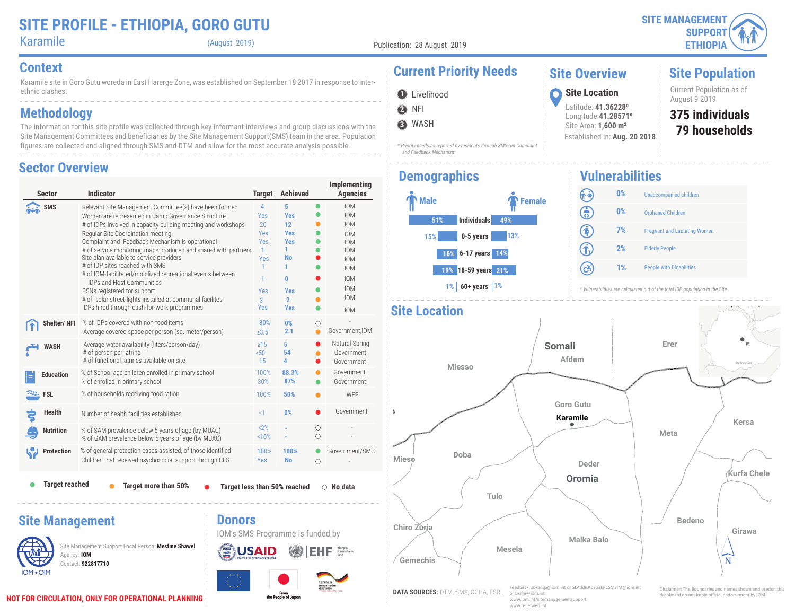**SITE MANAGEMENT SUPPORT ETHIOPIA**

Karamile (August 2019)

Publication: 28 August 2019

**2** NFI **O** Livelihood

**3** WASH

ethnic clashes.

**Methodology**

Karamile site in Goro Gutu woreda in East Harerge Zone, was established on September 18 2017 in response to inter-

The information for this site profile was collected through key informant interviews and group discussions with the Site Management Committees and beneficiaries by the Site Management Support(SMS) team in the area. Population figures are collected and aligned through SMS and DTM and allow for the most accurate analysis possible.

# **Context Current Priority Needs**

*\* Priority needs as reported by residents through SMS-run Complaint* 

#### **Site Overview**

 $\textcircled{\textbf{f}}$ (යි)

Latitude: **41.362280** Longitude:**41.285710** Site Area: **1,600 m²**

Established in: **Aug. 20 2018**

## **Site Population**

Current Population as of August 9 2019 **<sup>1</sup> Site Location**

## **375 individuals**

**79 households**

#### **Sector Overview**

| Sector                                                                                                                                                                                                                                     | <b>Indicator</b>                                                                                                                                                                                                                                                                                                                                                                                                                                                                                                                                                                                                                                                   | <b>Target</b>                                                                                                                   | <b>Achieved</b>                                                                                                             |                      | Implementing<br><b>Agencies</b>                                                                                                                                      |
|--------------------------------------------------------------------------------------------------------------------------------------------------------------------------------------------------------------------------------------------|--------------------------------------------------------------------------------------------------------------------------------------------------------------------------------------------------------------------------------------------------------------------------------------------------------------------------------------------------------------------------------------------------------------------------------------------------------------------------------------------------------------------------------------------------------------------------------------------------------------------------------------------------------------------|---------------------------------------------------------------------------------------------------------------------------------|-----------------------------------------------------------------------------------------------------------------------------|----------------------|----------------------------------------------------------------------------------------------------------------------------------------------------------------------|
| <b>SMS</b>                                                                                                                                                                                                                                 | Relevant Site Management Committee(s) have been formed<br>Women are represented in Camp Governance Structure<br># of IDPs involved in capacity building meeting and workshops<br>Regular Site Coordination meeting<br>Complaint and Feedback Mechanism is operational<br># of service monitoring maps produced and shared with partners<br>Site plan available to service providers<br># of IDP sites reached with SMS<br># of IOM-facilitated/mobilized recreational events between<br><b>IDPs and Host Communities</b><br>PSNs registered for support<br># of solar street lights installed at communal facilites<br>IDPs hired through cash-for-work programmes | $\overline{4}$<br>Yes<br>20<br><b>Yes</b><br><b>Yes</b><br>$\mathbf{1}$<br><b>Yes</b><br>1<br>1<br>Yes<br>$\overline{3}$<br>Yes | 5<br><b>Yes</b><br>12<br><b>Yes</b><br><b>Yes</b><br>1<br><b>No</b><br>1<br>0<br><b>Yes</b><br>$\overline{2}$<br><b>Yes</b> | $\bullet$            | <b>IOM</b><br><b>IOM</b><br><b>IOM</b><br><b>IOM</b><br><b>IOM</b><br><b>IOM</b><br><b>IOM</b><br><b>IOM</b><br><b>IOM</b><br><b>IOM</b><br><b>IOM</b><br><b>IOM</b> |
| <b>Shelter/NFI</b>                                                                                                                                                                                                                         | % of IDPs covered with non-food items<br>Average covered space per person (sq. meter/person)                                                                                                                                                                                                                                                                                                                                                                                                                                                                                                                                                                       | 80%<br>$\ge 3.5$                                                                                                                | 0%<br>2.1                                                                                                                   | О<br>$\bullet$       | Government, IOM                                                                                                                                                      |
| <b>WASH</b>                                                                                                                                                                                                                                | Average water availability (liters/person/day)<br># of person per latrine<br># of functional latrines available on site                                                                                                                                                                                                                                                                                                                                                                                                                                                                                                                                            | $\geq$ 15<br>50 <sub>o</sub><br>15                                                                                              | 5<br>54<br>4                                                                                                                | O                    | Natural Spring<br>Government<br>Government                                                                                                                           |
| <b>Education</b>                                                                                                                                                                                                                           | % of School age children enrolled in primary school<br>% of enrolled in primary school                                                                                                                                                                                                                                                                                                                                                                                                                                                                                                                                                                             | 100%<br>30%                                                                                                                     | 88.3%<br>87%                                                                                                                |                      | Government<br>Government                                                                                                                                             |
| <b>EXAMPLE</b> FSL                                                                                                                                                                                                                         | % of households receiving food ration                                                                                                                                                                                                                                                                                                                                                                                                                                                                                                                                                                                                                              | 100%                                                                                                                            | 50%                                                                                                                         |                      | WFP                                                                                                                                                                  |
| <b>Health</b>                                                                                                                                                                                                                              | Number of health facilities established                                                                                                                                                                                                                                                                                                                                                                                                                                                                                                                                                                                                                            | <1                                                                                                                              | 0%                                                                                                                          |                      | Government                                                                                                                                                           |
| <b>Nutrition</b>                                                                                                                                                                                                                           | % of SAM prevalence below 5 years of age (by MUAC)<br>% of GAM prevalence below 5 years of age (by MUAC)                                                                                                                                                                                                                                                                                                                                                                                                                                                                                                                                                           | 2%<br>10%                                                                                                                       |                                                                                                                             | О<br>$\bigcirc$      |                                                                                                                                                                      |
| <b>Protection</b>                                                                                                                                                                                                                          | % of general protection cases assisted, of those identified<br>Children that received psychosocial support through CFS                                                                                                                                                                                                                                                                                                                                                                                                                                                                                                                                             | 100%<br><b>Yes</b>                                                                                                              | 100%<br><b>No</b>                                                                                                           | $\bullet$<br>$\circ$ | Government/SMC                                                                                                                                                       |
| <b>Target reached</b><br>Target more than 50%<br>Target less than 50% reached<br>$\bigcirc$ No data                                                                                                                                        |                                                                                                                                                                                                                                                                                                                                                                                                                                                                                                                                                                                                                                                                    |                                                                                                                                 |                                                                                                                             |                      |                                                                                                                                                                      |
| <b>Donors</b><br><b>Site Management</b><br>IOM's SMS Programme is funded by<br>Site Management Support Focal Person: Mesfine Shawel<br>Humanitarian<br>Agency: IOM<br>FROM THE AMERICAN PEOPLE<br>Contact: 922817710<br>OM <sub>e</sub> OM |                                                                                                                                                                                                                                                                                                                                                                                                                                                                                                                                                                                                                                                                    |                                                                                                                                 |                                                                                                                             |                      |                                                                                                                                                                      |

# **Demographics**

 *and Feedback Mechanism*



#### **Vulnerabilities** (î î) **0%** Unaccompanied children ඹ **0%** Orphaned Children  $\circledast$ **7%** Pregnant and Lactating Women

| 2% | <b>Elderly People</b>           |
|----|---------------------------------|
| 1% | <b>People with Disabilities</b> |



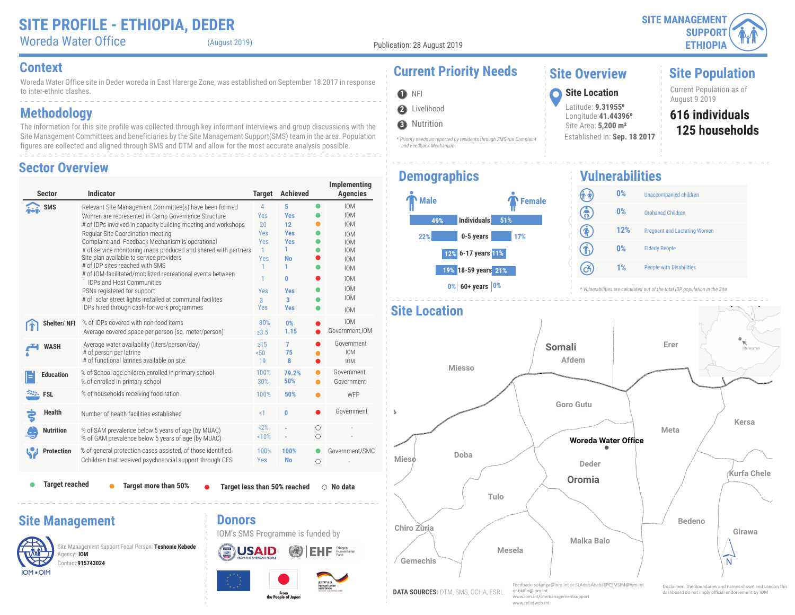(August 2019)

**2** Livelihood

**3** Nutrition

 *and Feedback Mechanism*

**O** NFI

A.

**Site Population**

IOM OIM

Contact:**915743024**

Woreda Water Office site in Deder woreda in East Harerge Zone, was established on September 18 2017 in response to inter-ethnic clashes.

### **Methodology**

The information for this site profile was collected through key informant interviews and group discussions with the Site Management Committees and beneficiaries by the Site Management Support(SMS) team in the area. Population figures are collected and aligned through SMS and DTM and allow for the most accurate analysis possible.

#### **Sector Overview**

| <b>Sector</b>          | <b>Indicator</b>                                                                                                                                                                                                                                                                                                                                                                                                                                                                                                                                                                                                                                                   | <b>Target</b>                                                                                                   | <b>Achieved</b>                                                                                                                             |           | Implementing<br><b>Agencies</b>                                                                                                                                      |
|------------------------|--------------------------------------------------------------------------------------------------------------------------------------------------------------------------------------------------------------------------------------------------------------------------------------------------------------------------------------------------------------------------------------------------------------------------------------------------------------------------------------------------------------------------------------------------------------------------------------------------------------------------------------------------------------------|-----------------------------------------------------------------------------------------------------------------|---------------------------------------------------------------------------------------------------------------------------------------------|-----------|----------------------------------------------------------------------------------------------------------------------------------------------------------------------|
| <b>SMS</b>             | Relevant Site Management Committee(s) have been formed<br>Women are represented in Camp Governance Structure<br># of IDPs involved in capacity building meeting and workshops<br>Regular Site Coordination meeting<br>Complaint and Feedback Mechanism is operational<br># of service monitoring maps produced and shared with partners<br>Site plan available to service providers<br># of IDP sites reached with SMS<br># of IOM-facilitated/mobilized recreational events between<br><b>IDPs and Host Communities</b><br>PSNs registered for support<br># of solar street lights installed at communal facilites<br>IDPs hired through cash-for-work programmes | $\overline{4}$<br>Yes<br>20<br>Yes<br><b>Yes</b><br>$\mathbf{1}$<br>Yes<br>$\mathbf{1}$<br>1<br>Yes<br>3<br>Yes | 5<br><b>Yes</b><br>12 <sup>2</sup><br><b>Yes</b><br><b>Yes</b><br>1.<br>No<br>1<br>0<br><b>Yes</b><br>$\overline{\mathbf{3}}$<br><b>Yes</b> | $\bullet$ | <b>IOM</b><br><b>IOM</b><br><b>IOM</b><br><b>IOM</b><br><b>IOM</b><br><b>IOM</b><br><b>IOM</b><br><b>IOM</b><br><b>IOM</b><br><b>IOM</b><br><b>IOM</b><br><b>IOM</b> |
| Shelter/NFI            | % of IDPs covered with non-food items<br>Average covered space per person (sq. meter/person)                                                                                                                                                                                                                                                                                                                                                                                                                                                                                                                                                                       | 80%<br>$\ge 3.5$                                                                                                | 0%<br>1.15                                                                                                                                  |           | <b>IOM</b><br>Government, IOM                                                                                                                                        |
| <b>WASH</b>            | Average water availability (liters/person/day)<br># of person per latrine<br># of functional latrines available on site                                                                                                                                                                                                                                                                                                                                                                                                                                                                                                                                            | $\geq$ 15<br>50 <sub>0</sub><br>19                                                                              | 7<br>75<br>8                                                                                                                                |           | Government<br><b>IOM</b><br><b>IOM</b>                                                                                                                               |
| <b>Education</b>       | % of School age children enrolled in primary school<br>% of enrolled in primary school                                                                                                                                                                                                                                                                                                                                                                                                                                                                                                                                                                             | 100%<br>30%                                                                                                     | 79.2%<br>50%                                                                                                                                |           | Government<br>Government                                                                                                                                             |
| <b>EXALL</b> FSL       | % of households receiving food ration                                                                                                                                                                                                                                                                                                                                                                                                                                                                                                                                                                                                                              | 100%                                                                                                            | 50%                                                                                                                                         | ●         | WFP                                                                                                                                                                  |
| <b>Health</b>          | Number of health facilities established                                                                                                                                                                                                                                                                                                                                                                                                                                                                                                                                                                                                                            | $\leq$ 1                                                                                                        | $\bf{0}$                                                                                                                                    |           | Government                                                                                                                                                           |
| <b>Nutrition</b>       | % of SAM prevalence below 5 years of age (by MUAC)<br>% of GAM prevalence below 5 years of age (by MUAC)                                                                                                                                                                                                                                                                                                                                                                                                                                                                                                                                                           | 2%<br>10%                                                                                                       |                                                                                                                                             | О<br>Ο    |                                                                                                                                                                      |
| <b>Protection</b>      | % of general protection cases assisted, of those identified<br>Cchildren that received psychosocial support through CFS                                                                                                                                                                                                                                                                                                                                                                                                                                                                                                                                            | 100%<br><b>Yes</b>                                                                                              | 100%<br><b>No</b>                                                                                                                           | $\circ$   | Government/SMC                                                                                                                                                       |
| <b>Target reached</b>  | Target more than 50%                                                                                                                                                                                                                                                                                                                                                                                                                                                                                                                                                                                                                                               |                                                                                                                 | Target less than 50% reached                                                                                                                |           | $\circ$ No data                                                                                                                                                      |
| <b>Site Management</b> | <b>Donors</b>                                                                                                                                                                                                                                                                                                                                                                                                                                                                                                                                                                                                                                                      |                                                                                                                 | IOM's SMS Programme is funded by                                                                                                            |           |                                                                                                                                                                      |
| Agency: IOM            | Site Management Support Focal Person: Teshome Kebede<br><b>EUSAID</b>                                                                                                                                                                                                                                                                                                                                                                                                                                                                                                                                                                                              |                                                                                                                 |                                                                                                                                             |           | Humanitarian                                                                                                                                                         |

## **Context Current Priority Needs**

#### **Site Overview**

Latitude: **9.319550** Longitude:**41.443960** Site Area: **5,200 m²**

Established in: **Sep. 18 2017**

**125 households 616 individuals** Current Population as of August 9 2019 **<sup>1</sup> Site Location**

### **Demographics**



*\* Priority needs as reported by residents through SMS-run Complaint* 

#### **Vulnerabilities** (î î) **0%** Unaccompanied children ඹ **0%** Orphaned Children  $\circledast$ **12%** Pregnant and Lactating Women  $\widehat{\mathbf{f}}_n$ **0%** Elderly People  $\left( c\right)$ **1%** People with Disabilities

**Woreda Water Office Oromia Somali Doba Meta Miesso Erer Deder Tulo Bedeno Kersa Afdem Girawa Mesela Malka Balo Goro Gutu Dire location Gemechis Kurfa Chele Mieso Chiro Zuria**  $\widehat{\mathsf{N}}$ **DATA SOURCES:** DTM, SMS, OCHA, ESRI. *\* Vulnerabilities are calculated out of the total IDP population in the Site* **Site Location** Site location Feedback: sokanga@iom.int or SLAddisAbabaEPCSMSIM@iom.int or bkifle@iom.int www.iom.int/sitema Disclaimer: The Boundaries and names shown and usedon this dashboard do not imply official endorsement by IOM

www.reliefweb.int